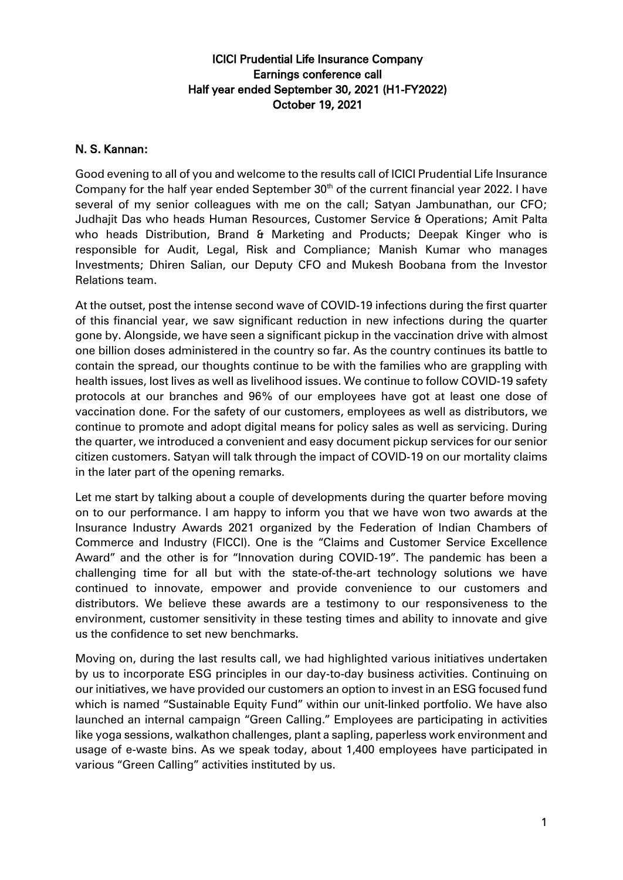## ICICI Prudential Life Insurance Company Earnings conference call Half year ended September 30, 2021 (H1-FY2022) October 19, 2021

## N. S. Kannan:

Good evening to all of you and welcome to the results call of ICICI Prudential Life Insurance Company for the half year ended September  $30<sup>th</sup>$  of the current financial year 2022. I have several of my senior colleagues with me on the call; Satyan Jambunathan, our CFO; Judhajit Das who heads Human Resources, Customer Service & Operations; Amit Palta who heads Distribution, Brand & Marketing and Products; Deepak Kinger who is responsible for Audit, Legal, Risk and Compliance; Manish Kumar who manages Investments; Dhiren Salian, our Deputy CFO and Mukesh Boobana from the Investor Relations team.

At the outset, post the intense second wave of COVID-19 infections during the first quarter of this financial year, we saw significant reduction in new infections during the quarter gone by. Alongside, we have seen a significant pickup in the vaccination drive with almost one billion doses administered in the country so far. As the country continues its battle to contain the spread, our thoughts continue to be with the families who are grappling with health issues, lost lives as well as livelihood issues. We continue to follow COVID-19 safety protocols at our branches and 96% of our employees have got at least one dose of vaccination done. For the safety of our customers, employees as well as distributors, we continue to promote and adopt digital means for policy sales as well as servicing. During the quarter, we introduced a convenient and easy document pickup services for our senior citizen customers. Satyan will talk through the impact of COVID-19 on our mortality claims in the later part of the opening remarks.

Let me start by talking about a couple of developments during the quarter before moving on to our performance. I am happy to inform you that we have won two awards at the Insurance Industry Awards 2021 organized by the Federation of Indian Chambers of Commerce and Industry (FICCI). One is the "Claims and Customer Service Excellence Award" and the other is for "Innovation during COVID-19". The pandemic has been a challenging time for all but with the state-of-the-art technology solutions we have continued to innovate, empower and provide convenience to our customers and distributors. We believe these awards are a testimony to our responsiveness to the environment, customer sensitivity in these testing times and ability to innovate and give us the confidence to set new benchmarks.

Moving on, during the last results call, we had highlighted various initiatives undertaken by us to incorporate ESG principles in our day-to-day business activities. Continuing on our initiatives, we have provided our customers an option to invest in an ESG focused fund which is named "Sustainable Equity Fund" within our unit-linked portfolio. We have also launched an internal campaign "Green Calling." Employees are participating in activities like yoga sessions, walkathon challenges, plant a sapling, paperless work environment and usage of e-waste bins. As we speak today, about 1,400 employees have participated in various "Green Calling" activities instituted by us.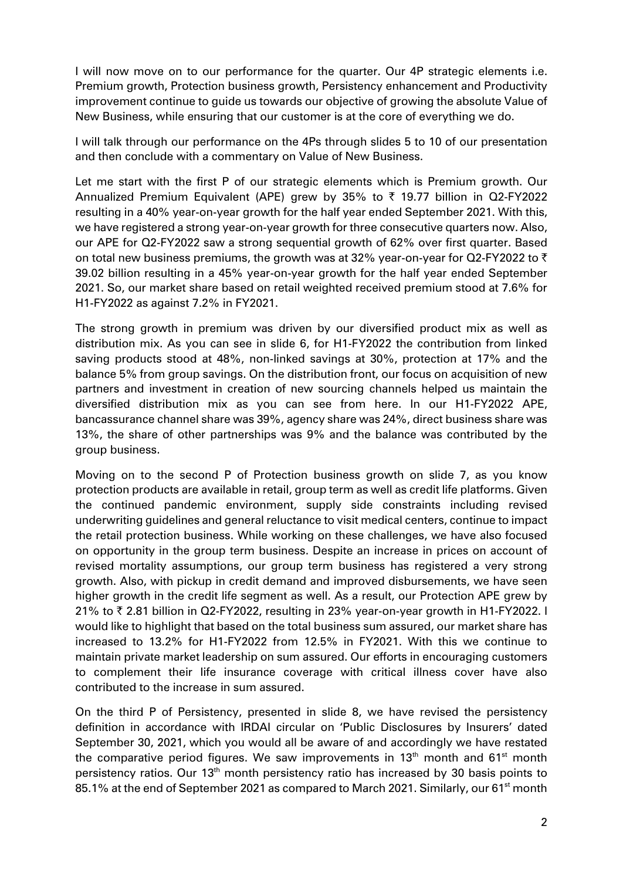I will now move on to our performance for the quarter. Our 4P strategic elements i.e. Premium growth, Protection business growth, Persistency enhancement and Productivity improvement continue to guide us towards our objective of growing the absolute Value of New Business, while ensuring that our customer is at the core of everything we do.

I will talk through our performance on the 4Ps through slides 5 to 10 of our presentation and then conclude with a commentary on Value of New Business.

Let me start with the first P of our strategic elements which is Premium growth. Our Annualized Premium Equivalent (APE) grew by 35% to  $\bar{\tau}$  19.77 billion in Q2-FY2022 resulting in a 40% year-on-year growth for the half year ended September 2021. With this, we have registered a strong year-on-year growth for three consecutive quarters now. Also, our APE for Q2-FY2022 saw a strong sequential growth of 62% over first quarter. Based on total new business premiums, the growth was at 32% year-on-year for Q2-FY2022 to  $\bar{\tau}$ 39.02 billion resulting in a 45% year-on-year growth for the half year ended September 2021. So, our market share based on retail weighted received premium stood at 7.6% for H1-FY2022 as against 7.2% in FY2021.

The strong growth in premium was driven by our diversified product mix as well as distribution mix. As you can see in slide 6, for H1-FY2022 the contribution from linked saving products stood at 48%, non-linked savings at 30%, protection at 17% and the balance 5% from group savings. On the distribution front, our focus on acquisition of new partners and investment in creation of new sourcing channels helped us maintain the diversified distribution mix as you can see from here. In our H1-FY2022 APE, bancassurance channel share was 39%, agency share was 24%, direct business share was 13%, the share of other partnerships was 9% and the balance was contributed by the group business.

Moving on to the second P of Protection business growth on slide 7, as you know protection products are available in retail, group term as well as credit life platforms. Given the continued pandemic environment, supply side constraints including revised underwriting guidelines and general reluctance to visit medical centers, continue to impact the retail protection business. While working on these challenges, we have also focused on opportunity in the group term business. Despite an increase in prices on account of revised mortality assumptions, our group term business has registered a very strong growth. Also, with pickup in credit demand and improved disbursements, we have seen higher growth in the credit life segment as well. As a result, our Protection APE grew by 21% to ₹ 2.81 billion in Q2-FY2022, resulting in 23% year-on-year growth in H1-FY2022. I would like to highlight that based on the total business sum assured, our market share has increased to 13.2% for H1-FY2022 from 12.5% in FY2021. With this we continue to maintain private market leadership on sum assured. Our efforts in encouraging customers to complement their life insurance coverage with critical illness cover have also contributed to the increase in sum assured.

On the third P of Persistency, presented in slide 8, we have revised the persistency definition in accordance with IRDAI circular on 'Public Disclosures by Insurers' dated September 30, 2021, which you would all be aware of and accordingly we have restated the comparative period figures. We saw improvements in  $13<sup>th</sup>$  month and  $61<sup>st</sup>$  month persistency ratios. Our 13<sup>th</sup> month persistency ratio has increased by 30 basis points to 85.1% at the end of September 2021 as compared to March 2021. Similarly, our 61<sup>st</sup> month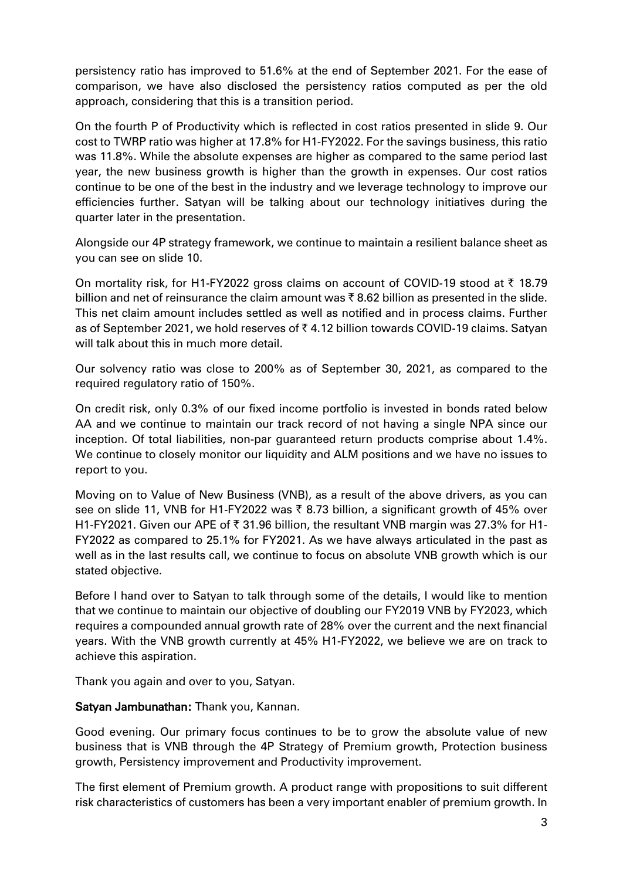persistency ratio has improved to 51.6% at the end of September 2021. For the ease of comparison, we have also disclosed the persistency ratios computed as per the old approach, considering that this is a transition period.

On the fourth P of Productivity which is reflected in cost ratios presented in slide 9. Our cost to TWRP ratio was higher at 17.8% for H1-FY2022. For the savings business, this ratio was 11.8%. While the absolute expenses are higher as compared to the same period last year, the new business growth is higher than the growth in expenses. Our cost ratios continue to be one of the best in the industry and we leverage technology to improve our efficiencies further. Satyan will be talking about our technology initiatives during the quarter later in the presentation.

Alongside our 4P strategy framework, we continue to maintain a resilient balance sheet as you can see on slide 10.

On mortality risk, for H1-FY2022 gross claims on account of COVID-19 stood at  $\bar{\tau}$  18.79 billion and net of reinsurance the claim amount was  $\bar{\tau}$  8.62 billion as presented in the slide. This net claim amount includes settled as well as notified and in process claims. Further as of September 2021, we hold reserves of  $\bar{\tau}$  4.12 billion towards COVID-19 claims. Satyan will talk about this in much more detail.

Our solvency ratio was close to 200% as of September 30, 2021, as compared to the required regulatory ratio of 150%.

On credit risk, only 0.3% of our fixed income portfolio is invested in bonds rated below AA and we continue to maintain our track record of not having a single NPA since our inception. Of total liabilities, non-par guaranteed return products comprise about 1.4%. We continue to closely monitor our liquidity and ALM positions and we have no issues to report to you.

Moving on to Value of New Business (VNB), as a result of the above drivers, as you can see on slide 11, VNB for H1-FY2022 was  $\bar{\tau}$  8.73 billion, a significant growth of 45% over H1-FY2021. Given our APE of  $\bar{\tau}$  31.96 billion, the resultant VNB margin was 27.3% for H1-FY2022 as compared to 25.1% for FY2021. As we have always articulated in the past as well as in the last results call, we continue to focus on absolute VNB growth which is our stated objective.

Before I hand over to Satyan to talk through some of the details, I would like to mention that we continue to maintain our objective of doubling our FY2019 VNB by FY2023, which requires a compounded annual growth rate of 28% over the current and the next financial years. With the VNB growth currently at 45% H1-FY2022, we believe we are on track to achieve this aspiration.

Thank you again and over to you, Satyan.

## Satyan Jambunathan: Thank you, Kannan.

Good evening. Our primary focus continues to be to grow the absolute value of new business that is VNB through the 4P Strategy of Premium growth, Protection business growth, Persistency improvement and Productivity improvement.

The first element of Premium growth. A product range with propositions to suit different risk characteristics of customers has been a very important enabler of premium growth. In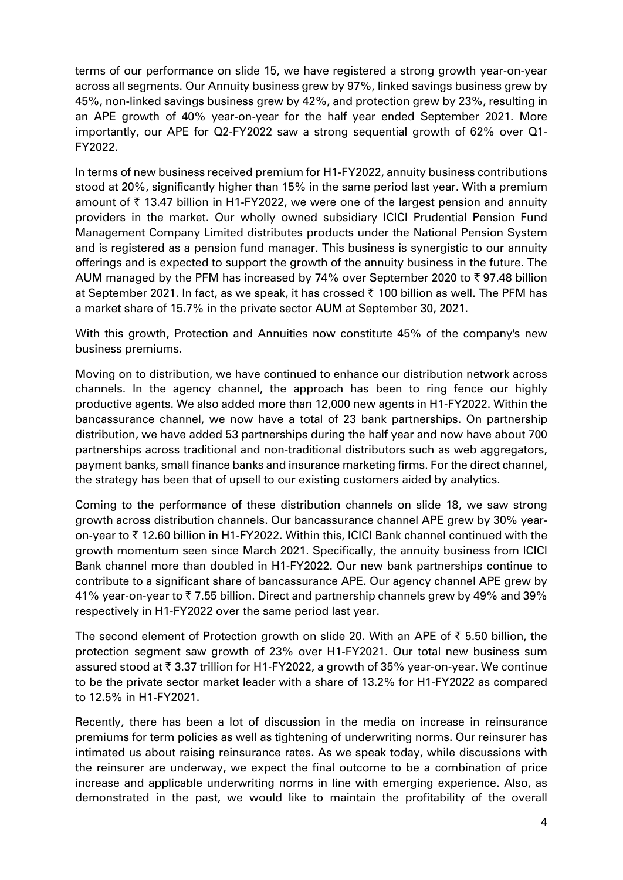terms of our performance on slide 15, we have registered a strong growth year-on-year across all segments. Our Annuity business grew by 97%, linked savings business grew by 45%, non-linked savings business grew by 42%, and protection grew by 23%, resulting in an APE growth of 40% year-on-year for the half year ended September 2021. More importantly, our APE for Q2-FY2022 saw a strong sequential growth of 62% over Q1- FY2022.

In terms of new business received premium for H1-FY2022, annuity business contributions stood at 20%, significantly higher than 15% in the same period last year. With a premium amount of  $\bar{\tau}$  13.47 billion in H1-FY2022, we were one of the largest pension and annuity providers in the market. Our wholly owned subsidiary ICICI Prudential Pension Fund Management Company Limited distributes products under the National Pension System and is registered as a pension fund manager. This business is synergistic to our annuity offerings and is expected to support the growth of the annuity business in the future. The AUM managed by the PFM has increased by 74% over September 2020 to  $\bar{\tau}$  97.48 billion at September 2021. In fact, as we speak, it has crossed  $\bar{\tau}$  100 billion as well. The PFM has a market share of 15.7% in the private sector AUM at September 30, 2021.

With this growth, Protection and Annuities now constitute 45% of the company's new business premiums.

Moving on to distribution, we have continued to enhance our distribution network across channels. In the agency channel, the approach has been to ring fence our highly productive agents. We also added more than 12,000 new agents in H1-FY2022. Within the bancassurance channel, we now have a total of 23 bank partnerships. On partnership distribution, we have added 53 partnerships during the half year and now have about 700 partnerships across traditional and non-traditional distributors such as web aggregators, payment banks, small finance banks and insurance marketing firms. For the direct channel, the strategy has been that of upsell to our existing customers aided by analytics.

Coming to the performance of these distribution channels on slide 18, we saw strong growth across distribution channels. Our bancassurance channel APE grew by 30% yearon-year to  $\bar{\tau}$  12.60 billion in H1-FY2022. Within this, ICICI Bank channel continued with the growth momentum seen since March 2021. Specifically, the annuity business from ICICI Bank channel more than doubled in H1-FY2022. Our new bank partnerships continue to contribute to a significant share of bancassurance APE. Our agency channel APE grew by 41% year-on-year to  $\bar{\tau}$  7.55 billion. Direct and partnership channels grew by 49% and 39% respectively in H1-FY2022 over the same period last year.

The second element of Protection growth on slide 20. With an APE of  $\bar{\tau}$  5.50 billion, the protection segment saw growth of 23% over H1-FY2021. Our total new business sum assured stood at  $\bar{\tau}$  3.37 trillion for H1-FY2022, a growth of 35% year-on-year. We continue to be the private sector market leader with a share of 13.2% for H1-FY2022 as compared to 12.5% in H1-FY2021.

Recently, there has been a lot of discussion in the media on increase in reinsurance premiums for term policies as well as tightening of underwriting norms. Our reinsurer has intimated us about raising reinsurance rates. As we speak today, while discussions with the reinsurer are underway, we expect the final outcome to be a combination of price increase and applicable underwriting norms in line with emerging experience. Also, as demonstrated in the past, we would like to maintain the profitability of the overall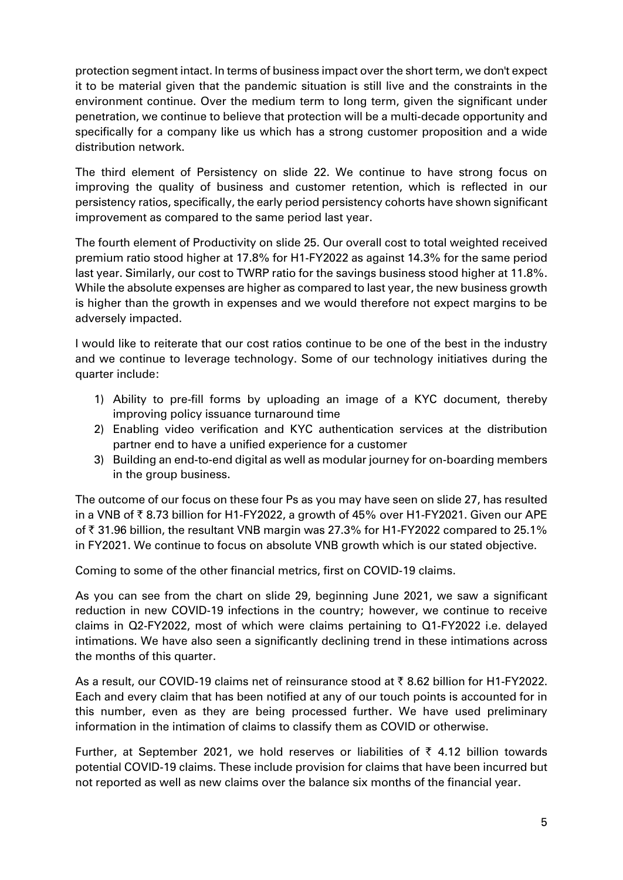protection segment intact. In terms of business impact over the short term, we don't expect it to be material given that the pandemic situation is still live and the constraints in the environment continue. Over the medium term to long term, given the significant under penetration, we continue to believe that protection will be a multi-decade opportunity and specifically for a company like us which has a strong customer proposition and a wide distribution network.

The third element of Persistency on slide 22. We continue to have strong focus on improving the quality of business and customer retention, which is reflected in our persistency ratios, specifically, the early period persistency cohorts have shown significant improvement as compared to the same period last year.

The fourth element of Productivity on slide 25. Our overall cost to total weighted received premium ratio stood higher at 17.8% for H1-FY2022 as against 14.3% for the same period last year. Similarly, our cost to TWRP ratio for the savings business stood higher at 11.8%. While the absolute expenses are higher as compared to last year, the new business growth is higher than the growth in expenses and we would therefore not expect margins to be adversely impacted.

I would like to reiterate that our cost ratios continue to be one of the best in the industry and we continue to leverage technology. Some of our technology initiatives during the quarter include:

- 1) Ability to pre-fill forms by uploading an image of a KYC document, thereby improving policy issuance turnaround time
- 2) Enabling video verification and KYC authentication services at the distribution partner end to have a unified experience for a customer
- 3) Building an end-to-end digital as well as modular journey for on-boarding members in the group business.

The outcome of our focus on these four Ps as you may have seen on slide 27, has resulted in a VNB of  $\bar{\tau}$  8.73 billion for H1-FY2022, a growth of 45% over H1-FY2021. Given our APE of  $\bar{\tau}$  31.96 billion, the resultant VNB margin was 27.3% for H1-FY2022 compared to 25.1% in FY2021. We continue to focus on absolute VNB growth which is our stated objective.

Coming to some of the other financial metrics, first on COVID-19 claims.

As you can see from the chart on slide 29, beginning June 2021, we saw a significant reduction in new COVID-19 infections in the country; however, we continue to receive claims in Q2-FY2022, most of which were claims pertaining to Q1-FY2022 i.e. delayed intimations. We have also seen a significantly declining trend in these intimations across the months of this quarter.

As a result, our COVID-19 claims net of reinsurance stood at ₹8.62 billion for H1-FY2022. Each and every claim that has been notified at any of our touch points is accounted for in this number, even as they are being processed further. We have used preliminary information in the intimation of claims to classify them as COVID or otherwise.

Further, at September 2021, we hold reserves or liabilities of  $\bar{\tau}$  4.12 billion towards potential COVID-19 claims. These include provision for claims that have been incurred but not reported as well as new claims over the balance six months of the financial year.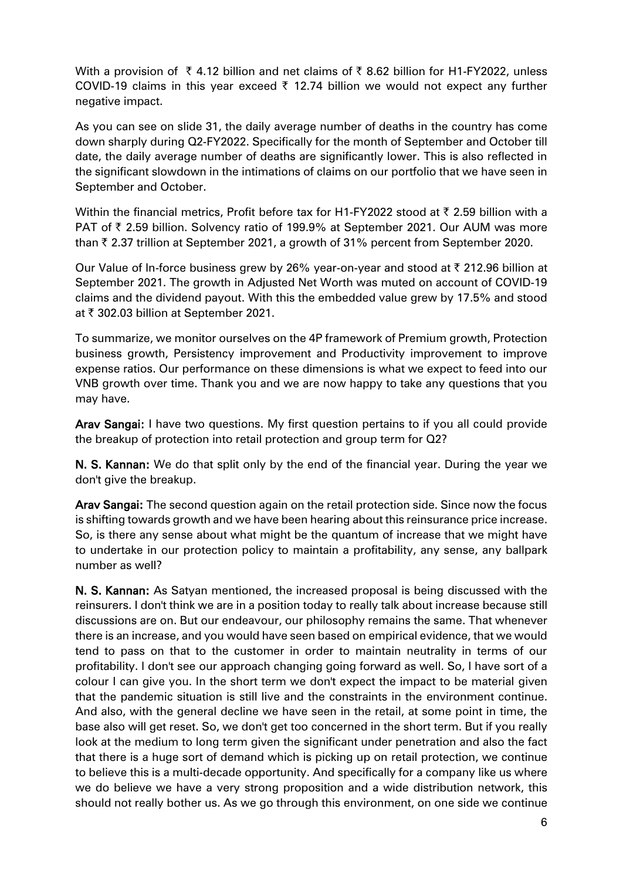With a provision of  $\bar{\tau}$  4.12 billion and net claims of  $\bar{\tau}$  8.62 billion for H1-FY2022, unless COVID-19 claims in this year exceed  $\bar{\tau}$  12.74 billion we would not expect any further negative impact.

As you can see on slide 31, the daily average number of deaths in the country has come down sharply during Q2-FY2022. Specifically for the month of September and October till date, the daily average number of deaths are significantly lower. This is also reflected in the significant slowdown in the intimations of claims on our portfolio that we have seen in September and October.

Within the financial metrics, Profit before tax for H1-FY2022 stood at  $\bar{\tau}$  2.59 billion with a PAT of ₹ 2.59 billion. Solvency ratio of 199.9% at September 2021. Our AUM was more than  $\bar{\tau}$  2.37 trillion at September 2021, a growth of 31% percent from September 2020.

Our Value of In-force business grew by 26% year-on-year and stood at  $\bar{\tau}$  212.96 billion at September 2021. The growth in Adjusted Net Worth was muted on account of COVID-19 claims and the dividend payout. With this the embedded value grew by 17.5% and stood at ₹ 302.03 billion at September 2021.

To summarize, we monitor ourselves on the 4P framework of Premium growth, Protection business growth, Persistency improvement and Productivity improvement to improve expense ratios. Our performance on these dimensions is what we expect to feed into our VNB growth over time. Thank you and we are now happy to take any questions that you may have.

Arav Sangai: I have two questions. My first question pertains to if you all could provide the breakup of protection into retail protection and group term for Q2?

N. S. Kannan: We do that split only by the end of the financial year. During the year we don't give the breakup.

Arav Sangai: The second question again on the retail protection side. Since now the focus is shifting towards growth and we have been hearing about this reinsurance price increase. So, is there any sense about what might be the quantum of increase that we might have to undertake in our protection policy to maintain a profitability, any sense, any ballpark number as well?

N. S. Kannan: As Satyan mentioned, the increased proposal is being discussed with the reinsurers. I don't think we are in a position today to really talk about increase because still discussions are on. But our endeavour, our philosophy remains the same. That whenever there is an increase, and you would have seen based on empirical evidence, that we would tend to pass on that to the customer in order to maintain neutrality in terms of our profitability. I don't see our approach changing going forward as well. So, I have sort of a colour I can give you. In the short term we don't expect the impact to be material given that the pandemic situation is still live and the constraints in the environment continue. And also, with the general decline we have seen in the retail, at some point in time, the base also will get reset. So, we don't get too concerned in the short term. But if you really look at the medium to long term given the significant under penetration and also the fact that there is a huge sort of demand which is picking up on retail protection, we continue to believe this is a multi-decade opportunity. And specifically for a company like us where we do believe we have a very strong proposition and a wide distribution network, this should not really bother us. As we go through this environment, on one side we continue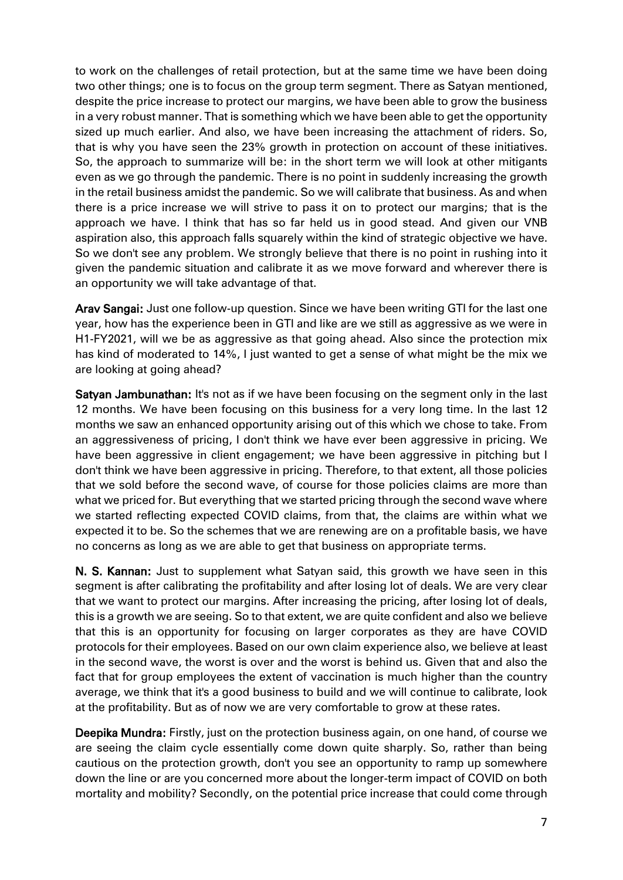to work on the challenges of retail protection, but at the same time we have been doing two other things; one is to focus on the group term segment. There as Satyan mentioned, despite the price increase to protect our margins, we have been able to grow the business in a very robust manner. That is something which we have been able to get the opportunity sized up much earlier. And also, we have been increasing the attachment of riders. So, that is why you have seen the 23% growth in protection on account of these initiatives. So, the approach to summarize will be: in the short term we will look at other mitigants even as we go through the pandemic. There is no point in suddenly increasing the growth in the retail business amidst the pandemic. So we will calibrate that business. As and when there is a price increase we will strive to pass it on to protect our margins; that is the approach we have. I think that has so far held us in good stead. And given our VNB aspiration also, this approach falls squarely within the kind of strategic objective we have. So we don't see any problem. We strongly believe that there is no point in rushing into it given the pandemic situation and calibrate it as we move forward and wherever there is an opportunity we will take advantage of that.

Arav Sangai: Just one follow-up question. Since we have been writing GTI for the last one year, how has the experience been in GTI and like are we still as aggressive as we were in H1-FY2021, will we be as aggressive as that going ahead. Also since the protection mix has kind of moderated to 14%, I just wanted to get a sense of what might be the mix we are looking at going ahead?

Satyan Jambunathan: It's not as if we have been focusing on the segment only in the last 12 months. We have been focusing on this business for a very long time. In the last 12 months we saw an enhanced opportunity arising out of this which we chose to take. From an aggressiveness of pricing, I don't think we have ever been aggressive in pricing. We have been aggressive in client engagement; we have been aggressive in pitching but I don't think we have been aggressive in pricing. Therefore, to that extent, all those policies that we sold before the second wave, of course for those policies claims are more than what we priced for. But everything that we started pricing through the second wave where we started reflecting expected COVID claims, from that, the claims are within what we expected it to be. So the schemes that we are renewing are on a profitable basis, we have no concerns as long as we are able to get that business on appropriate terms.

N. S. Kannan: Just to supplement what Satyan said, this growth we have seen in this segment is after calibrating the profitability and after losing lot of deals. We are very clear that we want to protect our margins. After increasing the pricing, after losing lot of deals, this is a growth we are seeing. So to that extent, we are quite confident and also we believe that this is an opportunity for focusing on larger corporates as they are have COVID protocols for their employees. Based on our own claim experience also, we believe at least in the second wave, the worst is over and the worst is behind us. Given that and also the fact that for group employees the extent of vaccination is much higher than the country average, we think that it's a good business to build and we will continue to calibrate, look at the profitability. But as of now we are very comfortable to grow at these rates.

Deepika Mundra: Firstly, just on the protection business again, on one hand, of course we are seeing the claim cycle essentially come down quite sharply. So, rather than being cautious on the protection growth, don't you see an opportunity to ramp up somewhere down the line or are you concerned more about the longer-term impact of COVID on both mortality and mobility? Secondly, on the potential price increase that could come through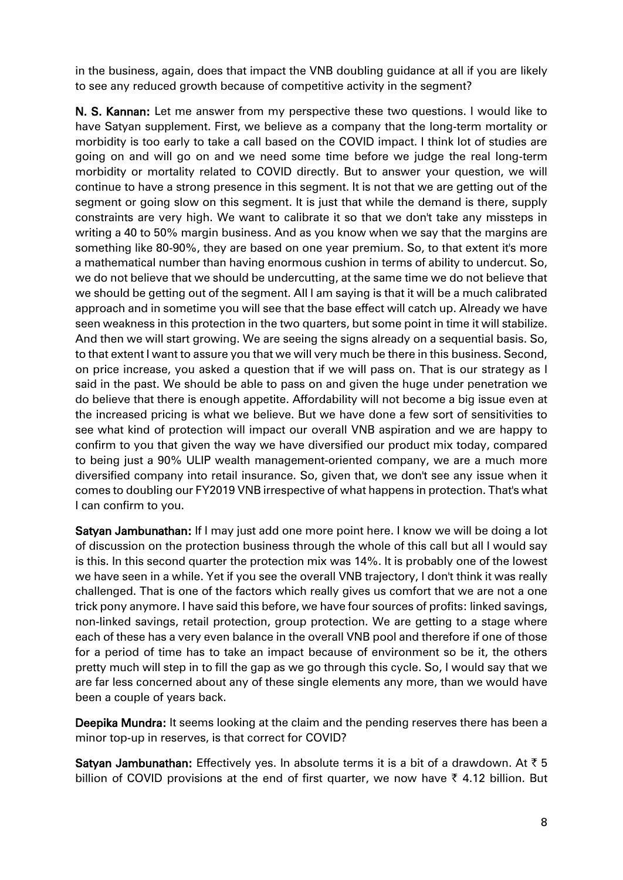in the business, again, does that impact the VNB doubling guidance at all if you are likely to see any reduced growth because of competitive activity in the segment?

N. S. Kannan: Let me answer from my perspective these two questions. I would like to have Satyan supplement. First, we believe as a company that the long-term mortality or morbidity is too early to take a call based on the COVID impact. I think lot of studies are going on and will go on and we need some time before we judge the real long-term morbidity or mortality related to COVID directly. But to answer your question, we will continue to have a strong presence in this segment. It is not that we are getting out of the segment or going slow on this segment. It is just that while the demand is there, supply constraints are very high. We want to calibrate it so that we don't take any missteps in writing a 40 to 50% margin business. And as you know when we say that the margins are something like 80-90%, they are based on one year premium. So, to that extent it's more a mathematical number than having enormous cushion in terms of ability to undercut. So, we do not believe that we should be undercutting, at the same time we do not believe that we should be getting out of the segment. All I am saying is that it will be a much calibrated approach and in sometime you will see that the base effect will catch up. Already we have seen weakness in this protection in the two quarters, but some point in time it will stabilize. And then we will start growing. We are seeing the signs already on a sequential basis. So, to that extent I want to assure you that we will very much be there in this business. Second, on price increase, you asked a question that if we will pass on. That is our strategy as I said in the past. We should be able to pass on and given the huge under penetration we do believe that there is enough appetite. Affordability will not become a big issue even at the increased pricing is what we believe. But we have done a few sort of sensitivities to see what kind of protection will impact our overall VNB aspiration and we are happy to confirm to you that given the way we have diversified our product mix today, compared to being just a 90% ULIP wealth management-oriented company, we are a much more diversified company into retail insurance. So, given that, we don't see any issue when it comes to doubling our FY2019 VNB irrespective of what happens in protection. That's what I can confirm to you.

Satyan Jambunathan: If I may just add one more point here. I know we will be doing a lot of discussion on the protection business through the whole of this call but all I would say is this. In this second quarter the protection mix was 14%. It is probably one of the lowest we have seen in a while. Yet if you see the overall VNB trajectory, I don't think it was really challenged. That is one of the factors which really gives us comfort that we are not a one trick pony anymore. I have said this before, we have four sources of profits: linked savings, non-linked savings, retail protection, group protection. We are getting to a stage where each of these has a very even balance in the overall VNB pool and therefore if one of those for a period of time has to take an impact because of environment so be it, the others pretty much will step in to fill the gap as we go through this cycle. So, I would say that we are far less concerned about any of these single elements any more, than we would have been a couple of years back.

Deepika Mundra: It seems looking at the claim and the pending reserves there has been a minor top-up in reserves, is that correct for COVID?

Satyan Jambunathan: Effectively yes. In absolute terms it is a bit of a drawdown. At  $\bar{z}$  5 billion of COVID provisions at the end of first quarter, we now have  $\bar{\tau}$  4.12 billion. But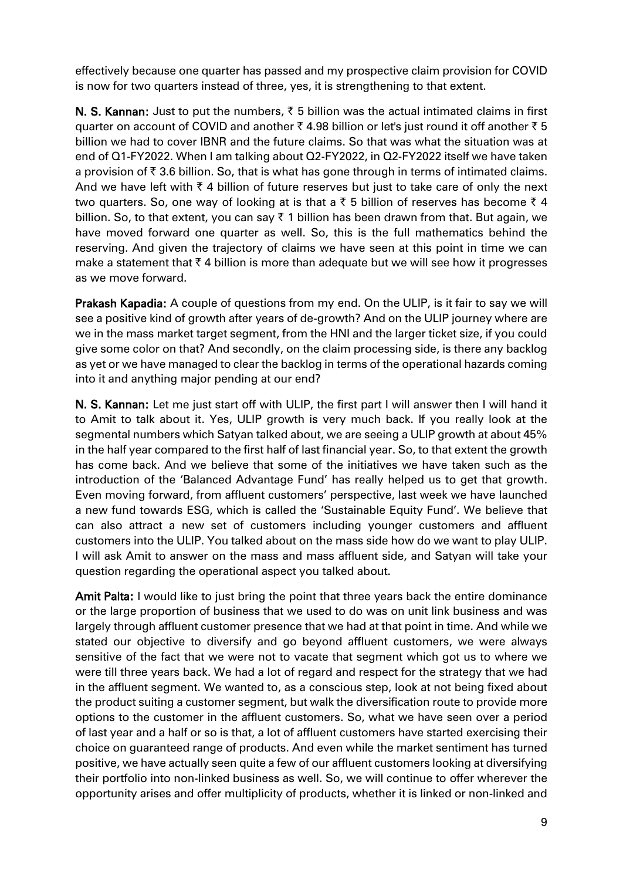effectively because one quarter has passed and my prospective claim provision for COVID is now for two quarters instead of three, yes, it is strengthening to that extent.

N. S. Kannan: Just to put the numbers,  $\bar{\xi}$  5 billion was the actual intimated claims in first quarter on account of COVID and another  $\bar{\tau}$  4.98 billion or let's just round it off another  $\bar{\tau}$  5 billion we had to cover IBNR and the future claims. So that was what the situation was at end of Q1-FY2022. When I am talking about Q2-FY2022, in Q2-FY2022 itself we have taken a provision of  $\bar{\tau}$  3.6 billion. So, that is what has gone through in terms of intimated claims. And we have left with  $\bar{\tau}$  4 billion of future reserves but just to take care of only the next two quarters. So, one way of looking at is that a  $\bar{\tau}$  5 billion of reserves has become  $\bar{\tau}$  4 billion. So, to that extent, you can say  $\bar{\tau}$  1 billion has been drawn from that. But again, we have moved forward one quarter as well. So, this is the full mathematics behind the reserving. And given the trajectory of claims we have seen at this point in time we can make a statement that  $\bar{\tau}$  4 billion is more than adequate but we will see how it progresses as we move forward.

Prakash Kapadia: A couple of questions from my end. On the ULIP, is it fair to say we will see a positive kind of growth after years of de-growth? And on the ULIP journey where are we in the mass market target segment, from the HNI and the larger ticket size, if you could give some color on that? And secondly, on the claim processing side, is there any backlog as yet or we have managed to clear the backlog in terms of the operational hazards coming into it and anything major pending at our end?

N. S. Kannan: Let me just start off with ULIP, the first part I will answer then I will hand it to Amit to talk about it. Yes, ULIP growth is very much back. If you really look at the segmental numbers which Satyan talked about, we are seeing a ULIP growth at about 45% in the half year compared to the first half of last financial year. So, to that extent the growth has come back. And we believe that some of the initiatives we have taken such as the introduction of the 'Balanced Advantage Fund' has really helped us to get that growth. Even moving forward, from affluent customers' perspective, last week we have launched a new fund towards ESG, which is called the 'Sustainable Equity Fund'. We believe that can also attract a new set of customers including younger customers and affluent customers into the ULIP. You talked about on the mass side how do we want to play ULIP. I will ask Amit to answer on the mass and mass affluent side, and Satyan will take your question regarding the operational aspect you talked about.

Amit Palta: I would like to just bring the point that three years back the entire dominance or the large proportion of business that we used to do was on unit link business and was largely through affluent customer presence that we had at that point in time. And while we stated our objective to diversify and go beyond affluent customers, we were always sensitive of the fact that we were not to vacate that segment which got us to where we were till three years back. We had a lot of regard and respect for the strategy that we had in the affluent segment. We wanted to, as a conscious step, look at not being fixed about the product suiting a customer segment, but walk the diversification route to provide more options to the customer in the affluent customers. So, what we have seen over a period of last year and a half or so is that, a lot of affluent customers have started exercising their choice on guaranteed range of products. And even while the market sentiment has turned positive, we have actually seen quite a few of our affluent customers looking at diversifying their portfolio into non-linked business as well. So, we will continue to offer wherever the opportunity arises and offer multiplicity of products, whether it is linked or non-linked and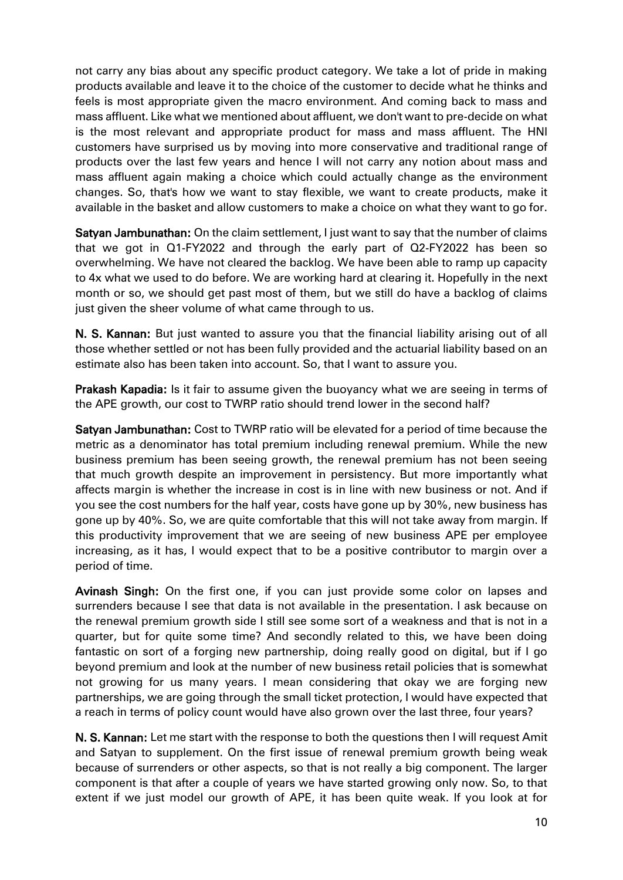not carry any bias about any specific product category. We take a lot of pride in making products available and leave it to the choice of the customer to decide what he thinks and feels is most appropriate given the macro environment. And coming back to mass and mass affluent. Like what we mentioned about affluent, we don't want to pre-decide on what is the most relevant and appropriate product for mass and mass affluent. The HNI customers have surprised us by moving into more conservative and traditional range of products over the last few years and hence I will not carry any notion about mass and mass affluent again making a choice which could actually change as the environment changes. So, that's how we want to stay flexible, we want to create products, make it available in the basket and allow customers to make a choice on what they want to go for.

Satyan Jambunathan: On the claim settlement, I just want to say that the number of claims that we got in Q1-FY2022 and through the early part of Q2-FY2022 has been so overwhelming. We have not cleared the backlog. We have been able to ramp up capacity to 4x what we used to do before. We are working hard at clearing it. Hopefully in the next month or so, we should get past most of them, but we still do have a backlog of claims just given the sheer volume of what came through to us.

N. S. Kannan: But just wanted to assure you that the financial liability arising out of all those whether settled or not has been fully provided and the actuarial liability based on an estimate also has been taken into account. So, that I want to assure you.

**Prakash Kapadia:** Is it fair to assume given the buoyancy what we are seeing in terms of the APE growth, our cost to TWRP ratio should trend lower in the second half?

Satyan Jambunathan: Cost to TWRP ratio will be elevated for a period of time because the metric as a denominator has total premium including renewal premium. While the new business premium has been seeing growth, the renewal premium has not been seeing that much growth despite an improvement in persistency. But more importantly what affects margin is whether the increase in cost is in line with new business or not. And if you see the cost numbers for the half year, costs have gone up by 30%, new business has gone up by 40%. So, we are quite comfortable that this will not take away from margin. If this productivity improvement that we are seeing of new business APE per employee increasing, as it has, I would expect that to be a positive contributor to margin over a period of time.

Avinash Singh: On the first one, if you can just provide some color on lapses and surrenders because I see that data is not available in the presentation. I ask because on the renewal premium growth side I still see some sort of a weakness and that is not in a quarter, but for quite some time? And secondly related to this, we have been doing fantastic on sort of a forging new partnership, doing really good on digital, but if I go beyond premium and look at the number of new business retail policies that is somewhat not growing for us many years. I mean considering that okay we are forging new partnerships, we are going through the small ticket protection, I would have expected that a reach in terms of policy count would have also grown over the last three, four years?

N. S. Kannan: Let me start with the response to both the questions then I will request Amit and Satyan to supplement. On the first issue of renewal premium growth being weak because of surrenders or other aspects, so that is not really a big component. The larger component is that after a couple of years we have started growing only now. So, to that extent if we just model our growth of APE, it has been quite weak. If you look at for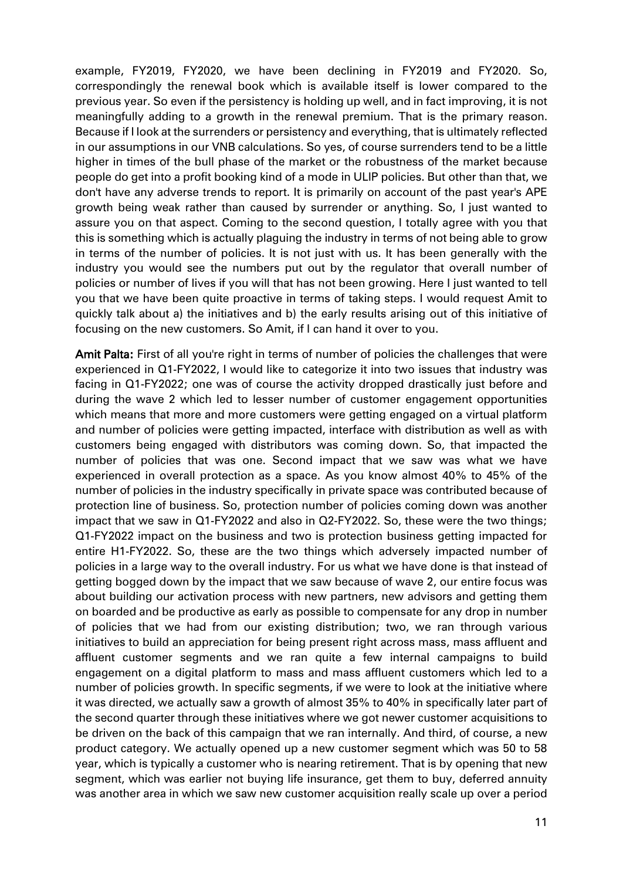example, FY2019, FY2020, we have been declining in FY2019 and FY2020. So, correspondingly the renewal book which is available itself is lower compared to the previous year. So even if the persistency is holding up well, and in fact improving, it is not meaningfully adding to a growth in the renewal premium. That is the primary reason. Because if I look at the surrenders or persistency and everything, that is ultimately reflected in our assumptions in our VNB calculations. So yes, of course surrenders tend to be a little higher in times of the bull phase of the market or the robustness of the market because people do get into a profit booking kind of a mode in ULIP policies. But other than that, we don't have any adverse trends to report. It is primarily on account of the past year's APE growth being weak rather than caused by surrender or anything. So, I just wanted to assure you on that aspect. Coming to the second question, I totally agree with you that this is something which is actually plaguing the industry in terms of not being able to grow in terms of the number of policies. It is not just with us. It has been generally with the industry you would see the numbers put out by the regulator that overall number of policies or number of lives if you will that has not been growing. Here I just wanted to tell you that we have been quite proactive in terms of taking steps. I would request Amit to quickly talk about a) the initiatives and b) the early results arising out of this initiative of focusing on the new customers. So Amit, if I can hand it over to you.

Amit Palta: First of all you're right in terms of number of policies the challenges that were experienced in Q1-FY2022, I would like to categorize it into two issues that industry was facing in Q1-FY2022; one was of course the activity dropped drastically just before and during the wave 2 which led to lesser number of customer engagement opportunities which means that more and more customers were getting engaged on a virtual platform and number of policies were getting impacted, interface with distribution as well as with customers being engaged with distributors was coming down. So, that impacted the number of policies that was one. Second impact that we saw was what we have experienced in overall protection as a space. As you know almost 40% to 45% of the number of policies in the industry specifically in private space was contributed because of protection line of business. So, protection number of policies coming down was another impact that we saw in Q1-FY2022 and also in Q2-FY2022. So, these were the two things; Q1-FY2022 impact on the business and two is protection business getting impacted for entire H1-FY2022. So, these are the two things which adversely impacted number of policies in a large way to the overall industry. For us what we have done is that instead of getting bogged down by the impact that we saw because of wave 2, our entire focus was about building our activation process with new partners, new advisors and getting them on boarded and be productive as early as possible to compensate for any drop in number of policies that we had from our existing distribution; two, we ran through various initiatives to build an appreciation for being present right across mass, mass affluent and affluent customer segments and we ran quite a few internal campaigns to build engagement on a digital platform to mass and mass affluent customers which led to a number of policies growth. In specific segments, if we were to look at the initiative where it was directed, we actually saw a growth of almost 35% to 40% in specifically later part of the second quarter through these initiatives where we got newer customer acquisitions to be driven on the back of this campaign that we ran internally. And third, of course, a new product category. We actually opened up a new customer segment which was 50 to 58 year, which is typically a customer who is nearing retirement. That is by opening that new segment, which was earlier not buying life insurance, get them to buy, deferred annuity was another area in which we saw new customer acquisition really scale up over a period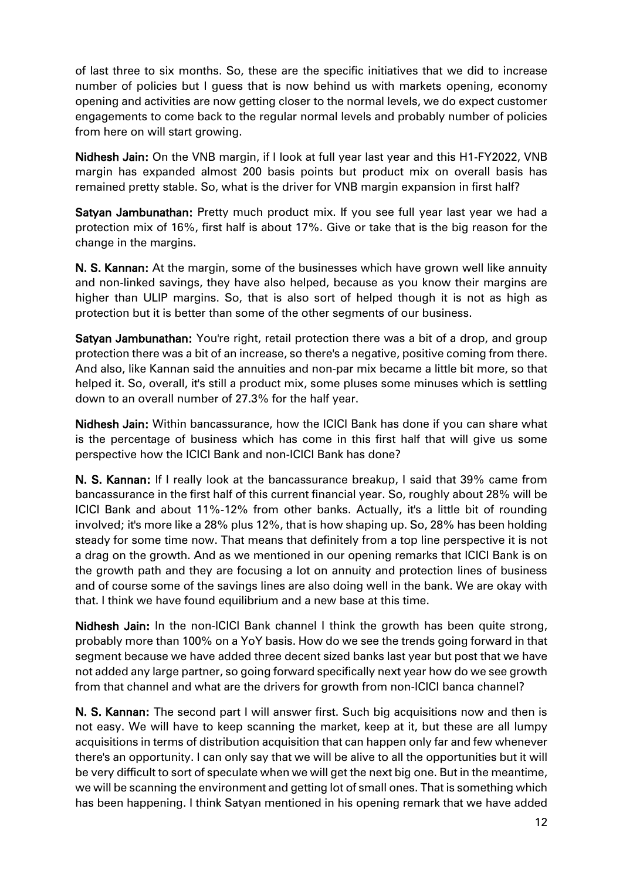of last three to six months. So, these are the specific initiatives that we did to increase number of policies but I guess that is now behind us with markets opening, economy opening and activities are now getting closer to the normal levels, we do expect customer engagements to come back to the regular normal levels and probably number of policies from here on will start growing.

Nidhesh Jain: On the VNB margin, if I look at full year last year and this H1-FY2022, VNB margin has expanded almost 200 basis points but product mix on overall basis has remained pretty stable. So, what is the driver for VNB margin expansion in first half?

Satyan Jambunathan: Pretty much product mix. If you see full year last year we had a protection mix of 16%, first half is about 17%. Give or take that is the big reason for the change in the margins.

N. S. Kannan: At the margin, some of the businesses which have grown well like annuity and non-linked savings, they have also helped, because as you know their margins are higher than ULIP margins. So, that is also sort of helped though it is not as high as protection but it is better than some of the other segments of our business.

Satyan Jambunathan: You're right, retail protection there was a bit of a drop, and group protection there was a bit of an increase, so there's a negative, positive coming from there. And also, like Kannan said the annuities and non-par mix became a little bit more, so that helped it. So, overall, it's still a product mix, some pluses some minuses which is settling down to an overall number of 27.3% for the half year.

Nidhesh Jain: Within bancassurance, how the ICICI Bank has done if you can share what is the percentage of business which has come in this first half that will give us some perspective how the ICICI Bank and non-ICICI Bank has done?

N. S. Kannan: If I really look at the bancassurance breakup, I said that 39% came from bancassurance in the first half of this current financial year. So, roughly about 28% will be ICICI Bank and about 11%-12% from other banks. Actually, it's a little bit of rounding involved; it's more like a 28% plus 12%, that is how shaping up. So, 28% has been holding steady for some time now. That means that definitely from a top line perspective it is not a drag on the growth. And as we mentioned in our opening remarks that ICICI Bank is on the growth path and they are focusing a lot on annuity and protection lines of business and of course some of the savings lines are also doing well in the bank. We are okay with that. I think we have found equilibrium and a new base at this time.

Nidhesh Jain: In the non-ICICI Bank channel I think the growth has been quite strong, probably more than 100% on a YoY basis. How do we see the trends going forward in that segment because we have added three decent sized banks last year but post that we have not added any large partner, so going forward specifically next year how do we see growth from that channel and what are the drivers for growth from non-ICICI banca channel?

**N. S. Kannan:** The second part I will answer first. Such big acquisitions now and then is not easy. We will have to keep scanning the market, keep at it, but these are all lumpy acquisitions in terms of distribution acquisition that can happen only far and few whenever there's an opportunity. I can only say that we will be alive to all the opportunities but it will be very difficult to sort of speculate when we will get the next big one. But in the meantime, we will be scanning the environment and getting lot of small ones. That is something which has been happening. I think Satyan mentioned in his opening remark that we have added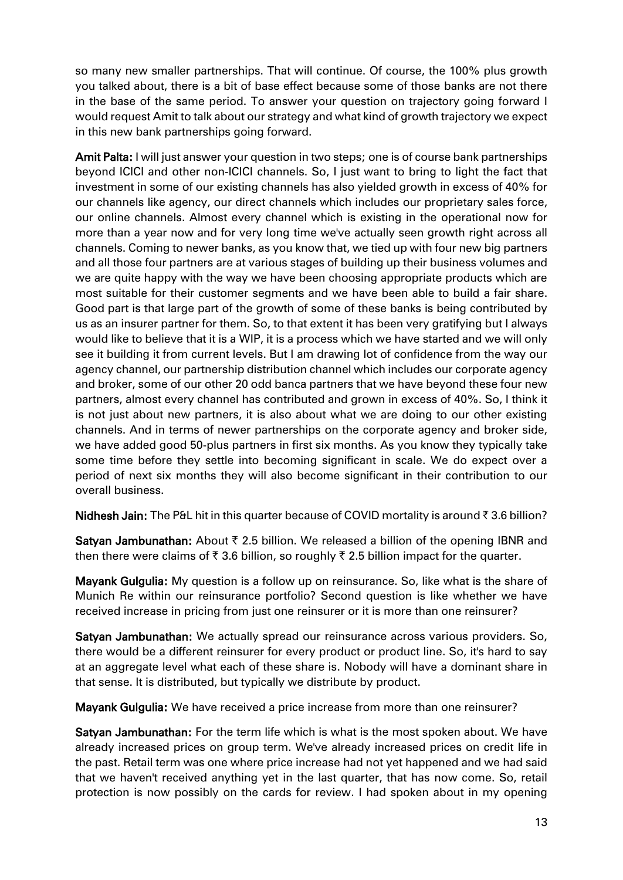so many new smaller partnerships. That will continue. Of course, the 100% plus growth you talked about, there is a bit of base effect because some of those banks are not there in the base of the same period. To answer your question on trajectory going forward I would request Amit to talk about our strategy and what kind of growth trajectory we expect in this new bank partnerships going forward.

Amit Palta: I will just answer your question in two steps; one is of course bank partnerships beyond ICICI and other non-ICICI channels. So, I just want to bring to light the fact that investment in some of our existing channels has also yielded growth in excess of 40% for our channels like agency, our direct channels which includes our proprietary sales force, our online channels. Almost every channel which is existing in the operational now for more than a year now and for very long time we've actually seen growth right across all channels. Coming to newer banks, as you know that, we tied up with four new big partners and all those four partners are at various stages of building up their business volumes and we are quite happy with the way we have been choosing appropriate products which are most suitable for their customer segments and we have been able to build a fair share. Good part is that large part of the growth of some of these banks is being contributed by us as an insurer partner for them. So, to that extent it has been very gratifying but I always would like to believe that it is a WIP, it is a process which we have started and we will only see it building it from current levels. But I am drawing lot of confidence from the way our agency channel, our partnership distribution channel which includes our corporate agency and broker, some of our other 20 odd banca partners that we have beyond these four new partners, almost every channel has contributed and grown in excess of 40%. So, I think it is not just about new partners, it is also about what we are doing to our other existing channels. And in terms of newer partnerships on the corporate agency and broker side, we have added good 50-plus partners in first six months. As you know they typically take some time before they settle into becoming significant in scale. We do expect over a period of next six months they will also become significant in their contribution to our overall business.

**Nidhesh Jain:** The P&L hit in this quarter because of COVID mortality is around  $\bar{\tau}$  3.6 billion?

**Satyan Jambunathan:** About  $\bar{\tau}$  2.5 billion. We released a billion of the opening IBNR and then there were claims of  $\bar{\tau}$  3.6 billion, so roughly  $\bar{\tau}$  2.5 billion impact for the quarter.

Mayank Gulgulia: My question is a follow up on reinsurance. So, like what is the share of Munich Re within our reinsurance portfolio? Second question is like whether we have received increase in pricing from just one reinsurer or it is more than one reinsurer?

Satyan Jambunathan: We actually spread our reinsurance across various providers. So, there would be a different reinsurer for every product or product line. So, it's hard to say at an aggregate level what each of these share is. Nobody will have a dominant share in that sense. It is distributed, but typically we distribute by product.

Mayank Gulgulia: We have received a price increase from more than one reinsurer?

Satyan Jambunathan: For the term life which is what is the most spoken about. We have already increased prices on group term. We've already increased prices on credit life in the past. Retail term was one where price increase had not yet happened and we had said that we haven't received anything yet in the last quarter, that has now come. So, retail protection is now possibly on the cards for review. I had spoken about in my opening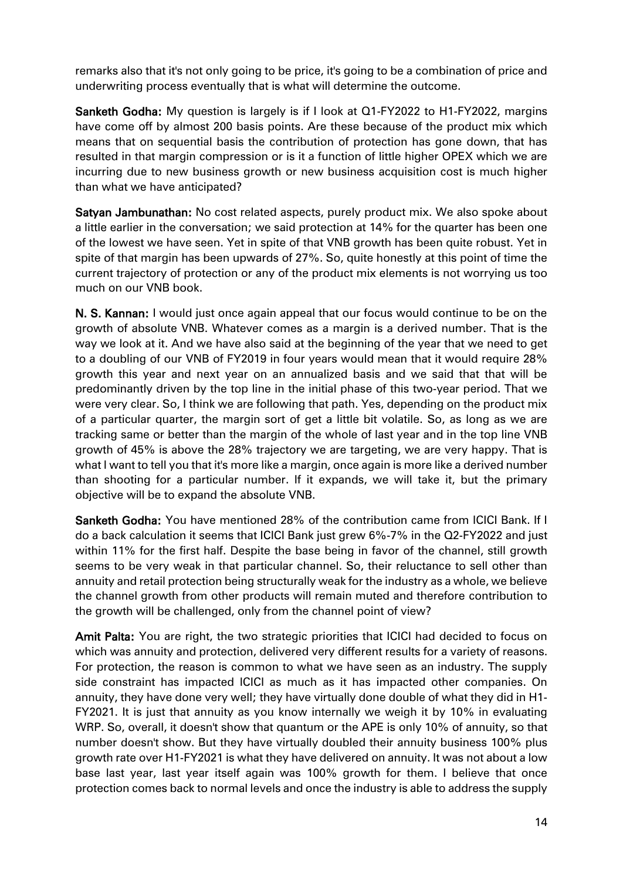remarks also that it's not only going to be price, it's going to be a combination of price and underwriting process eventually that is what will determine the outcome.

Sanketh Godha: My question is largely is if I look at Q1-FY2022 to H1-FY2022, margins have come off by almost 200 basis points. Are these because of the product mix which means that on sequential basis the contribution of protection has gone down, that has resulted in that margin compression or is it a function of little higher OPEX which we are incurring due to new business growth or new business acquisition cost is much higher than what we have anticipated?

Satyan Jambunathan: No cost related aspects, purely product mix. We also spoke about a little earlier in the conversation; we said protection at 14% for the quarter has been one of the lowest we have seen. Yet in spite of that VNB growth has been quite robust. Yet in spite of that margin has been upwards of 27%. So, quite honestly at this point of time the current trajectory of protection or any of the product mix elements is not worrying us too much on our VNB book.

N. S. Kannan: I would just once again appeal that our focus would continue to be on the growth of absolute VNB. Whatever comes as a margin is a derived number. That is the way we look at it. And we have also said at the beginning of the year that we need to get to a doubling of our VNB of FY2019 in four years would mean that it would require 28% growth this year and next year on an annualized basis and we said that that will be predominantly driven by the top line in the initial phase of this two-year period. That we were very clear. So, I think we are following that path. Yes, depending on the product mix of a particular quarter, the margin sort of get a little bit volatile. So, as long as we are tracking same or better than the margin of the whole of last year and in the top line VNB growth of 45% is above the 28% trajectory we are targeting, we are very happy. That is what I want to tell you that it's more like a margin, once again is more like a derived number than shooting for a particular number. If it expands, we will take it, but the primary objective will be to expand the absolute VNB.

Sanketh Godha: You have mentioned 28% of the contribution came from ICICI Bank. If I do a back calculation it seems that ICICI Bank just grew 6%-7% in the Q2-FY2022 and just within 11% for the first half. Despite the base being in favor of the channel, still growth seems to be very weak in that particular channel. So, their reluctance to sell other than annuity and retail protection being structurally weak for the industry as a whole, we believe the channel growth from other products will remain muted and therefore contribution to the growth will be challenged, only from the channel point of view?

Amit Palta: You are right, the two strategic priorities that ICICI had decided to focus on which was annuity and protection, delivered very different results for a variety of reasons. For protection, the reason is common to what we have seen as an industry. The supply side constraint has impacted ICICI as much as it has impacted other companies. On annuity, they have done very well; they have virtually done double of what they did in H1- FY2021. It is just that annuity as you know internally we weigh it by 10% in evaluating WRP. So, overall, it doesn't show that quantum or the APE is only 10% of annuity, so that number doesn't show. But they have virtually doubled their annuity business 100% plus growth rate over H1-FY2021 is what they have delivered on annuity. It was not about a low base last year, last year itself again was 100% growth for them. I believe that once protection comes back to normal levels and once the industry is able to address the supply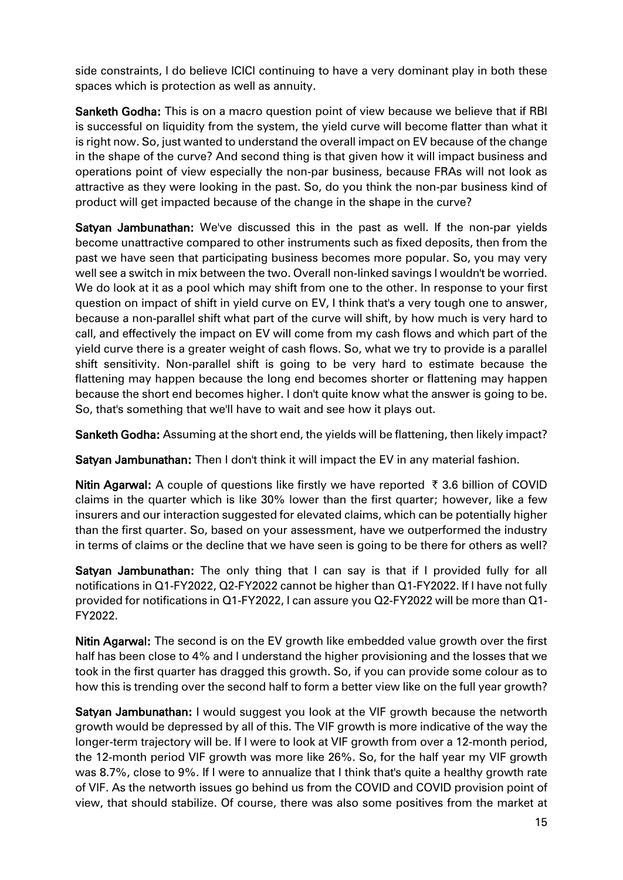side constraints, I do believe ICICI continuing to have a very dominant play in both these spaces which is protection as well as annuity.

Sanketh Godha: This is on a macro question point of view because we believe that if RBI is successful on liquidity from the system, the yield curve will become flatter than what it is right now. So, just wanted to understand the overall impact on EV because of the change in the shape of the curve? And second thing is that given how it will impact business and operations point of view especially the non-par business, because FRAs will not look as attractive as they were looking in the past. So, do you think the non-par business kind of product will get impacted because of the change in the shape in the curve?

Satyan Jambunathan: We've discussed this in the past as well. If the non-par yields become unattractive compared to other instruments such as fixed deposits, then from the past we have seen that participating business becomes more popular. So, you may very well see a switch in mix between the two. Overall non-linked savings I wouldn't be worried. We do look at it as a pool which may shift from one to the other. In response to your first question on impact of shift in yield curve on EV, I think that's a very tough one to answer, because a non-parallel shift what part of the curve will shift, by how much is very hard to call, and effectively the impact on EV will come from my cash flows and which part of the yield curve there is a greater weight of cash flows. So, what we try to provide is a parallel shift sensitivity. Non-parallel shift is going to be very hard to estimate because the flattening may happen because the long end becomes shorter or flattening may happen because the short end becomes higher. I don't quite know what the answer is going to be. So, that's something that we'll have to wait and see how it plays out.

Sanketh Godha: Assuming at the short end, the yields will be flattening, then likely impact?

Satyan Jambunathan: Then I don't think it will impact the EV in any material fashion.

Nitin Agarwal: A couple of questions like firstly we have reported  $\bar{\tau}$  3.6 billion of COVID claims in the quarter which is like 30% lower than the first quarter; however, like a few insurers and our interaction suggested for elevated claims, which can be potentially higher than the first quarter. So, based on your assessment, have we outperformed the industry in terms of claims or the decline that we have seen is going to be there for others as well?

Satyan Jambunathan: The only thing that I can say is that if I provided fully for all notifications in Q1-FY2022, Q2-FY2022 cannot be higher than Q1-FY2022. If I have not fully provided for notifications in Q1-FY2022, I can assure you Q2-FY2022 will be more than Q1- FY2022.

Nitin Agarwal: The second is on the EV growth like embedded value growth over the first half has been close to 4% and I understand the higher provisioning and the losses that we took in the first quarter has dragged this growth. So, if you can provide some colour as to how this is trending over the second half to form a better view like on the full year growth?

Satyan Jambunathan: I would suggest you look at the VIF growth because the networth growth would be depressed by all of this. The VIF growth is more indicative of the way the longer-term trajectory will be. If I were to look at VIF growth from over a 12-month period, the 12-month period VIF growth was more like 26%. So, for the half year my VIF growth was 8.7%, close to 9%. If I were to annualize that I think that's quite a healthy growth rate of VIF. As the networth issues go behind us from the COVID and COVID provision point of view, that should stabilize. Of course, there was also some positives from the market at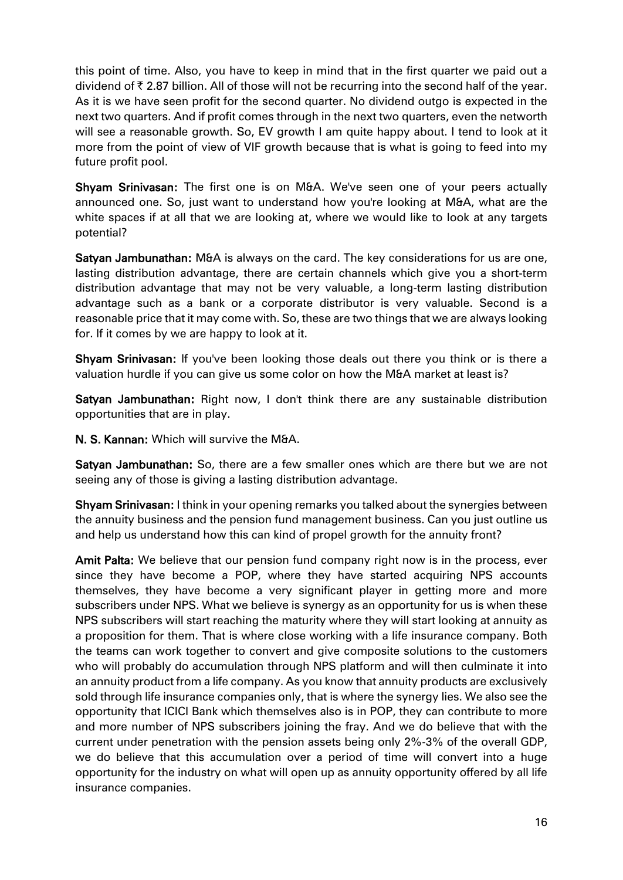this point of time. Also, you have to keep in mind that in the first quarter we paid out a dividend of  $\bar{\tau}$  2.87 billion. All of those will not be recurring into the second half of the year. As it is we have seen profit for the second quarter. No dividend outgo is expected in the next two quarters. And if profit comes through in the next two quarters, even the networth will see a reasonable growth. So, EV growth I am quite happy about. I tend to look at it more from the point of view of VIF growth because that is what is going to feed into my future profit pool.

Shyam Srinivasan: The first one is on M&A. We've seen one of your peers actually announced one. So, just want to understand how you're looking at M&A, what are the white spaces if at all that we are looking at, where we would like to look at any targets potential?

Satyan Jambunathan: M&A is always on the card. The key considerations for us are one, lasting distribution advantage, there are certain channels which give you a short-term distribution advantage that may not be very valuable, a long-term lasting distribution advantage such as a bank or a corporate distributor is very valuable. Second is a reasonable price that it may come with. So, these are two things that we are always looking for. If it comes by we are happy to look at it.

Shyam Srinivasan: If you've been looking those deals out there you think or is there a valuation hurdle if you can give us some color on how the M&A market at least is?

Satyan Jambunathan: Right now, I don't think there are any sustainable distribution opportunities that are in play.

N. S. Kannan: Which will survive the M&A.

Satyan Jambunathan: So, there are a few smaller ones which are there but we are not seeing any of those is giving a lasting distribution advantage.

Shyam Srinivasan: I think in your opening remarks you talked about the synergies between the annuity business and the pension fund management business. Can you just outline us and help us understand how this can kind of propel growth for the annuity front?

Amit Palta: We believe that our pension fund company right now is in the process, ever since they have become a POP, where they have started acquiring NPS accounts themselves, they have become a very significant player in getting more and more subscribers under NPS. What we believe is synergy as an opportunity for us is when these NPS subscribers will start reaching the maturity where they will start looking at annuity as a proposition for them. That is where close working with a life insurance company. Both the teams can work together to convert and give composite solutions to the customers who will probably do accumulation through NPS platform and will then culminate it into an annuity product from a life company. As you know that annuity products are exclusively sold through life insurance companies only, that is where the synergy lies. We also see the opportunity that ICICI Bank which themselves also is in POP, they can contribute to more and more number of NPS subscribers joining the fray. And we do believe that with the current under penetration with the pension assets being only 2%-3% of the overall GDP, we do believe that this accumulation over a period of time will convert into a huge opportunity for the industry on what will open up as annuity opportunity offered by all life insurance companies.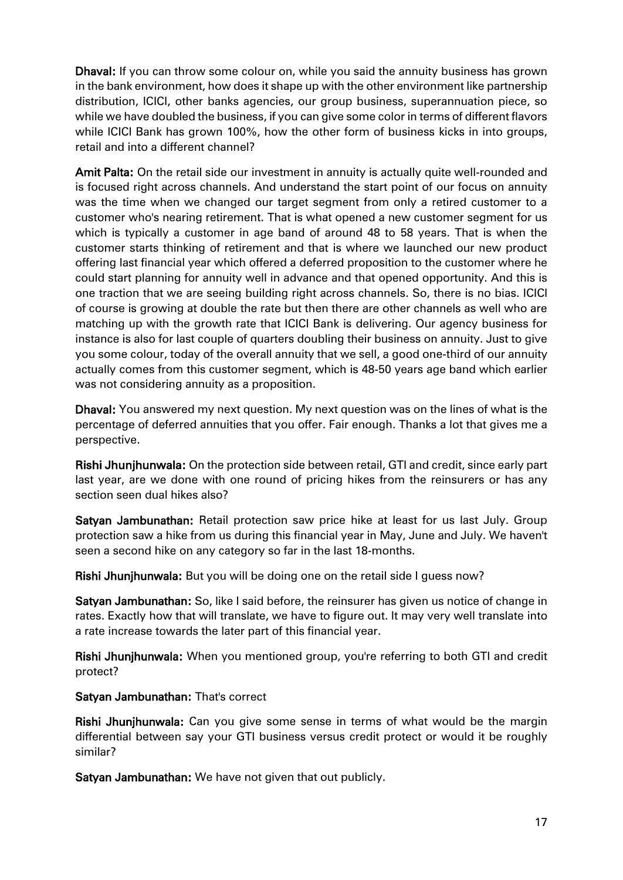Dhaval: If you can throw some colour on, while you said the annuity business has grown in the bank environment, how does it shape up with the other environment like partnership distribution, ICICI, other banks agencies, our group business, superannuation piece, so while we have doubled the business, if you can give some color in terms of different flavors while ICICI Bank has grown 100%, how the other form of business kicks in into groups, retail and into a different channel?

Amit Palta: On the retail side our investment in annuity is actually quite well-rounded and is focused right across channels. And understand the start point of our focus on annuity was the time when we changed our target segment from only a retired customer to a customer who's nearing retirement. That is what opened a new customer segment for us which is typically a customer in age band of around 48 to 58 years. That is when the customer starts thinking of retirement and that is where we launched our new product offering last financial year which offered a deferred proposition to the customer where he could start planning for annuity well in advance and that opened opportunity. And this is one traction that we are seeing building right across channels. So, there is no bias. ICICI of course is growing at double the rate but then there are other channels as well who are matching up with the growth rate that ICICI Bank is delivering. Our agency business for instance is also for last couple of quarters doubling their business on annuity. Just to give you some colour, today of the overall annuity that we sell, a good one-third of our annuity actually comes from this customer segment, which is 48-50 years age band which earlier was not considering annuity as a proposition.

Dhaval: You answered my next question. My next question was on the lines of what is the percentage of deferred annuities that you offer. Fair enough. Thanks a lot that gives me a perspective.

Rishi Jhunjhunwala: On the protection side between retail, GTI and credit, since early part last year, are we done with one round of pricing hikes from the reinsurers or has any section seen dual hikes also?

Satyan Jambunathan: Retail protection saw price hike at least for us last July. Group protection saw a hike from us during this financial year in May, June and July. We haven't seen a second hike on any category so far in the last 18-months.

Rishi Jhunjhunwala: But you will be doing one on the retail side I guess now?

Satyan Jambunathan: So, like I said before, the reinsurer has given us notice of change in rates. Exactly how that will translate, we have to figure out. It may very well translate into a rate increase towards the later part of this financial year.

Rishi Jhunjhunwala: When you mentioned group, you're referring to both GTI and credit protect?

Satyan Jambunathan: That's correct

Rishi Jhunjhunwala: Can you give some sense in terms of what would be the margin differential between say your GTI business versus credit protect or would it be roughly similar?

Satyan Jambunathan: We have not given that out publicly.